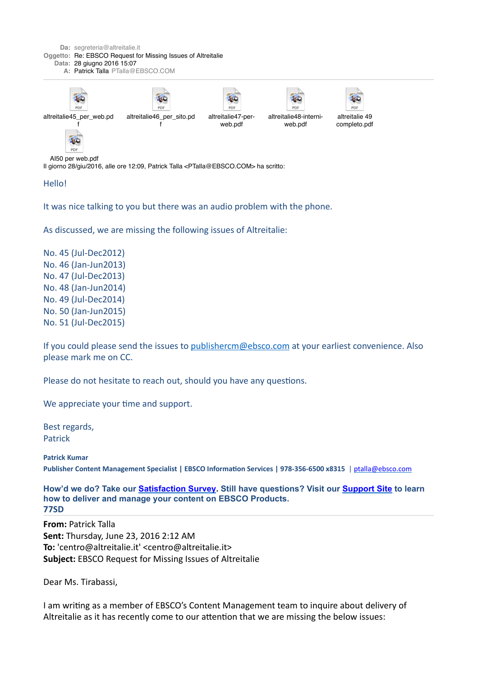

Hello!

It was nice talking to you but there was an audio problem with the phone.

As discussed, we are missing the following issues of Altreitalie:

No. 45 (Jul-Dec2012) No. 46 (Jan-Jun2013) No. 47 (Jul-Dec2013) No. 48 (Jan-Jun2014) No. 49 (Jul-Dec2014) No. 50 (Jan-Jun2015) No. 51 (Jul-Dec2015)

If you could please send the issues to publishercm@ebsco.com at your earliest convenience. Also please mark me on CC.

Please do not hesitate to reach out, should you have any questions.

We appreciate your time and support.

Best regards. Patrick

**Patrick Kumar** Publisher Content Management Specialist | EBSCO Information Services | 978-356-6500 x8315 | ptalla@ebsco.com

**How'd we do? Take our [Satisfaction Survey](https://email.ebsco.com/owa/redir.aspx?C=YtrsgIjJWU6Qg4EVF7RimI5jSkrp-dEIbp0JuxhiqEifolN3iE7Dr0riNQcNwX9PVFcI2q9nrok.&URL=https%3a%2f%2fwww.surveymonkey.com%2fs%2fEBSCOPCMSatisfaction). Still have questions? Visit our [Support Site](https://email.ebsco.com/owa/redir.aspx?C=YtrsgIjJWU6Qg4EVF7RimI5jSkrp-dEIbp0JuxhiqEifolN3iE7Dr0riNQcNwX9PVFcI2q9nrok.&URL=https%3a%2f%2fwww.ebsco.com%2fpublisher-support) to learn how to deliver and manage your content on EBSCO Products. 77SD**

**From: Patrick Talla Sent:** Thursday, June 23, 2016 2:12 AM **To:** 'centro@altreitalie.it' <centro@altreitalie.it> **Subject:** EBSCO Request for Missing Issues of Altreitalie

Dear Ms. Tirabassi,

I am writing as a member of EBSCO's Content Management team to inquire about delivery of Altreitalie as it has recently come to our attention that we are missing the below issues: